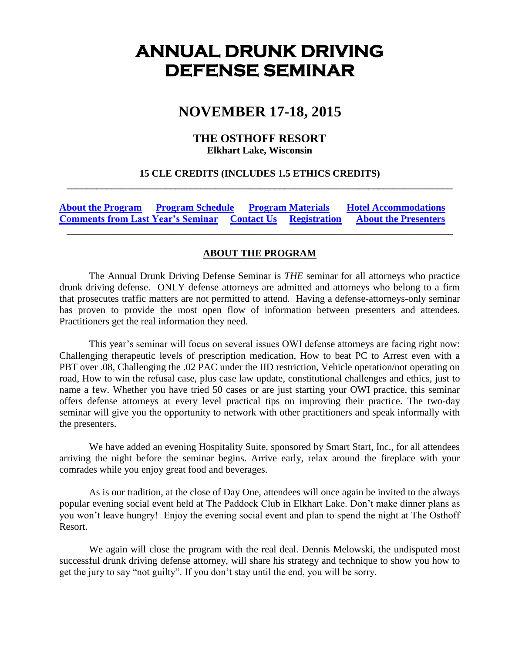# **ANNUAL DRUNK DRIVING DEFENSE SEMINAR**

# **NOVEMBER 17-18, 2015**

### **THE OSTHOFF RESORT Elkhart Lake, Wisconsin**

### **15 CLE CREDITS (INCLUDES 1.5 ETHICS CREDITS) \_\_\_\_\_\_\_\_\_\_\_\_\_\_\_\_\_\_\_\_\_\_\_\_\_\_\_\_\_\_\_\_\_\_\_\_\_\_\_\_\_\_\_\_\_\_\_\_\_\_\_\_\_\_\_\_\_\_\_\_\_\_\_\_\_\_\_\_\_\_\_\_\_\_\_\_\_\_**

**[About the Program](#page-0-0) [Program Schedule](#page-1-0) [Program Materials](#page-2-0) [Hotel Accommodations](#page-2-1) [Comments from Last Year's Seminar](#page-2-2) [Contact Us](#page-3-0) [Registration](#page-4-0) [About the Presenters](#page-5-0)** \_\_\_\_\_\_\_\_\_\_\_\_\_\_\_\_\_\_\_\_\_\_\_\_\_\_\_\_\_\_\_\_\_\_\_\_\_\_\_\_\_\_\_\_\_\_\_\_\_\_\_\_\_\_\_\_\_\_\_\_\_\_\_\_\_\_\_\_\_\_\_\_\_\_\_\_\_\_

## **ABOUT THE PROGRAM**

<span id="page-0-0"></span>The Annual Drunk Driving Defense Seminar is *THE* seminar for all attorneys who practice drunk driving defense. ONLY defense attorneys are admitted and attorneys who belong to a firm that prosecutes traffic matters are not permitted to attend. Having a defense-attorneys-only seminar has proven to provide the most open flow of information between presenters and attendees. Practitioners get the real information they need.

This year's seminar will focus on several issues OWI defense attorneys are facing right now: Challenging therapeutic levels of prescription medication, How to beat PC to Arrest even with a PBT over .08, Challenging the .02 PAC under the IID restriction, Vehicle operation/not operating on road, How to win the refusal case, plus case law update, constitutional challenges and ethics, just to name a few. Whether you have tried 50 cases or are just starting your OWI practice, this seminar offers defense attorneys at every level practical tips on improving their practice. The two-day seminar will give you the opportunity to network with other practitioners and speak informally with the presenters.

We have added an evening Hospitality Suite, sponsored by Smart Start, Inc., for all attendees arriving the night before the seminar begins. Arrive early, relax around the fireplace with your comrades while you enjoy great food and beverages.

As is our tradition, at the close of Day One, attendees will once again be invited to the always popular evening social event held at The Paddock Club in Elkhart Lake. Don't make dinner plans as you won't leave hungry! Enjoy the evening social event and plan to spend the night at The Osthoff Resort.

We again will close the program with the real deal. Dennis Melowski, the undisputed most successful drunk driving defense attorney, will share his strategy and technique to show you how to get the jury to say "not guilty". If you don't stay until the end, you will be sorry.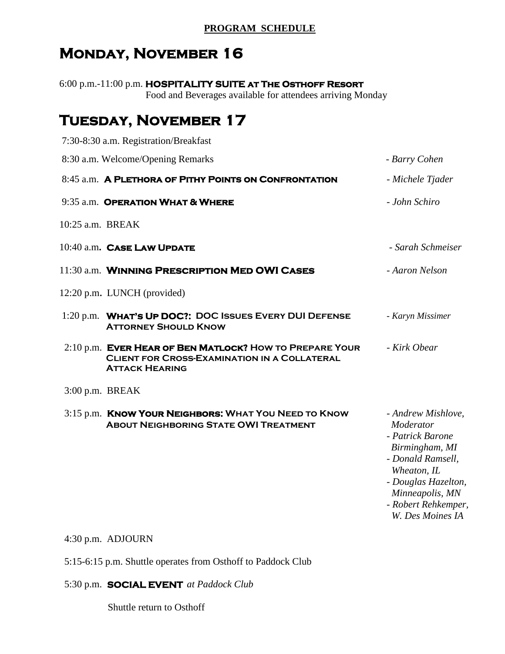## **PROGRAM SCHEDULE**

# <span id="page-1-0"></span>**Monday, November 16**

6:00 p.m.-11:00 p.m. **HOSPITALITY SUITE at The Osthoff Resort**  Food and Beverages available for attendees arriving Monday

# **Tuesday, November 17**

|                   | 7:30-8:30 a.m. Registration/Breakfast                                                                                                   |                                                                                                                                                                                                |
|-------------------|-----------------------------------------------------------------------------------------------------------------------------------------|------------------------------------------------------------------------------------------------------------------------------------------------------------------------------------------------|
|                   | 8:30 a.m. Welcome/Opening Remarks                                                                                                       | - Barry Cohen                                                                                                                                                                                  |
|                   | 8:45 a.m. A PLETHORA OF PITHY POINTS ON CONFRONTATION                                                                                   | - Michele Tjader                                                                                                                                                                               |
|                   | 9:35 a.m. OPERATION WHAT & WHERE                                                                                                        | - John Schiro                                                                                                                                                                                  |
| 10:25 a.m. BREAK  |                                                                                                                                         |                                                                                                                                                                                                |
|                   | 10:40 a.m. CASE LAW UPDATE                                                                                                              | - Sarah Schmeiser                                                                                                                                                                              |
|                   | 11:30 a.m. WINNING PRESCRIPTION MED OWI CASES                                                                                           | - Aaron Nelson                                                                                                                                                                                 |
|                   | 12:20 p.m. LUNCH (provided)                                                                                                             |                                                                                                                                                                                                |
|                   | 1:20 p.m. WHAT'S UP DOC?: DOC ISSUES EVERY DUI DEFENSE<br><b>ATTORNEY SHOULD KNOW</b>                                                   | - Karyn Missimer                                                                                                                                                                               |
|                   | 2:10 p.m. EVER HEAR OF BEN MATLOCK? HOW TO PREPARE YOUR<br><b>CLIENT FOR CROSS-EXAMINATION IN A COLLATERAL</b><br><b>ATTACK HEARING</b> | - Kirk Obear                                                                                                                                                                                   |
| $3:00$ p.m. BREAK |                                                                                                                                         |                                                                                                                                                                                                |
|                   | 3:15 p.m. <b>KNOW YOUR NEIGHBORS: WHAT YOU NEED TO KNOW</b><br><b>ABOUT NEIGHBORING STATE OWI TREATMENT</b>                             | - Andrew Mishlove,<br>Moderator<br>- Patrick Barone<br>Birmingham, MI<br>- Donald Ramsell,<br>Wheaton, IL<br>- Douglas Hazelton,<br>Minneapolis, MN<br>- Robert Rehkemper,<br>W. Des Moines IA |

4:30 p.m. ADJOURN

5:15-6:15 p.m. Shuttle operates from Osthoff to Paddock Club

5:30 p.m. **SOCIAL EVENT** *at Paddock Club*

Shuttle return to Osthoff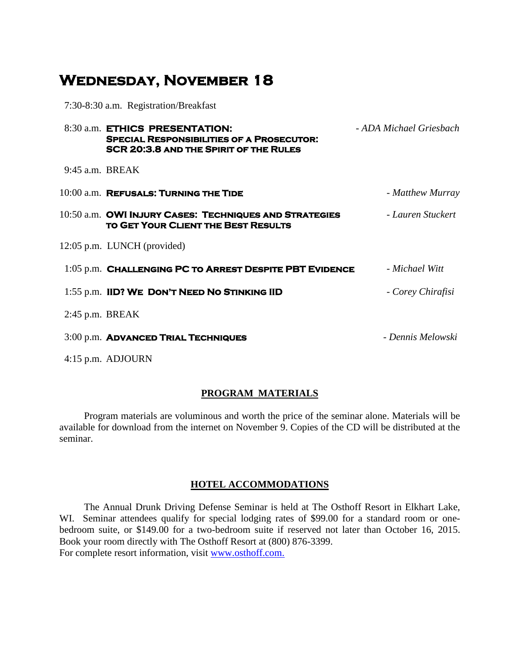# **Wednesday, November 18**

7:30-8:30 a.m. Registration/Breakfast

|                   | 8:30 a.m. ETHICS PRESENTATION:<br><b>SPECIAL RESPONSIBILITIES OF A PROSECUTOR:</b><br>SCR 20:3.8 AND THE SPIRIT OF THE RULES | - ADA Michael Griesbach |
|-------------------|------------------------------------------------------------------------------------------------------------------------------|-------------------------|
| $9:45$ a.m. BREAK |                                                                                                                              |                         |
|                   | 10:00 a.m. REFUSALS: TURNING THE TIDE                                                                                        | - Matthew Murray        |
|                   | 10:50 a.m. OWI INJURY CASES: TECHNIQUES AND STRATEGIES<br>TO GET YOUR CLIENT THE BEST RESULTS                                | - Lauren Stuckert       |
|                   | 12:05 p.m. LUNCH (provided)                                                                                                  |                         |
|                   | 1:05 p.m. CHALLENGING PC TO ARREST DESPITE PBT EVIDENCE                                                                      | - Michael Witt          |
|                   | 1:55 p.m. IID? WE DON'T NEED NO STINKING IID                                                                                 | - Corey Chirafisi       |
| $2:45$ p.m. BREAK |                                                                                                                              |                         |
|                   | 3:00 p.m. ADVANCED TRIAL TECHNIQUES                                                                                          | - Dennis Melowski       |
|                   | 4:15 p.m. ADJOURN                                                                                                            |                         |

#### **PROGRAM MATERIALS**

<span id="page-2-0"></span> Program materials are voluminous and worth the price of the seminar alone. Materials will be available for download from the internet on November 9. Copies of the CD will be distributed at the seminar.

#### **HOTEL ACCOMMODATIONS**

<span id="page-2-2"></span><span id="page-2-1"></span> The Annual Drunk Driving Defense Seminar is held at The Osthoff Resort in Elkhart Lake, WI. Seminar attendees qualify for special lodging rates of \$99.00 for a standard room or onebedroom suite, or \$149.00 for a two-bedroom suite if reserved not later than October 16, 2015. Book your room directly with The Osthoff Resort at (800) 876-3399. For complete resort information, visit www.osthoff.com.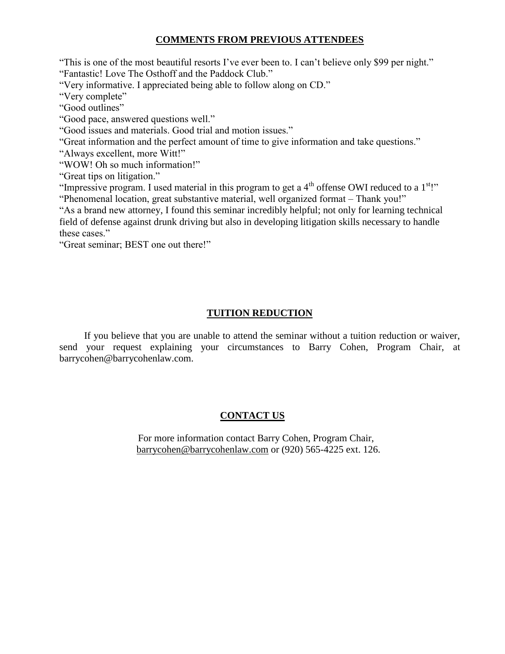#### **COMMENTS FROM PREVIOUS ATTENDEES**

"This is one of the most beautiful resorts I've ever been to. I can't believe only \$99 per night." "Fantastic! Love The Osthoff and the Paddock Club."

"Very informative. I appreciated being able to follow along on CD."

"Very complete"

"Good outlines"

"Good pace, answered questions well."

"Good issues and materials. Good trial and motion issues."

"Great information and the perfect amount of time to give information and take questions."

"Always excellent, more Witt!"

"WOW! Oh so much information!"

"Great tips on litigation."

"Impressive program. I used material in this program to get a  $4<sup>th</sup>$  offense OWI reduced to a  $1<sup>st</sup>$ !" "Phenomenal location, great substantive material, well organized format – Thank you!"

"As a brand new attorney, I found this seminar incredibly helpful; not only for learning technical field of defense against drunk driving but also in developing litigation skills necessary to handle these cases."

"Great seminar; BEST one out there!"

## **TUITION REDUCTION**

 If you believe that you are unable to attend the seminar without a tuition reduction or waiver, send your request explaining your circumstances to Barry Cohen, Program Chair, at barrycohen@barrycohenlaw.com.

# <span id="page-3-0"></span>**CONTACT US**

For more information contact Barry Cohen, Program Chair, barrycohen@barrycohenlaw.com or (920) 565-4225 ext. 126.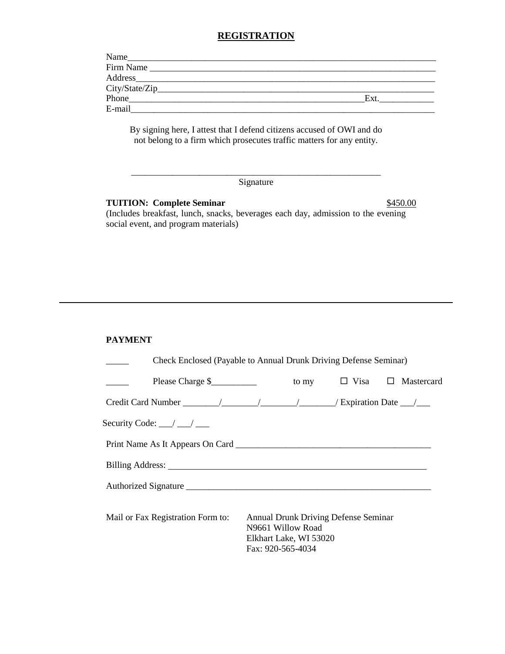#### **REGISTRATION**

<span id="page-4-0"></span>

| Name<br><u> 1980 - Jan Samuel Barbara, manala</u> |     |
|---------------------------------------------------|-----|
| Firm Name                                         |     |
|                                                   |     |
|                                                   |     |
| Phone                                             | Ext |
| E-mail                                            |     |

By signing here, I attest that I defend citizens accused of OWI and do not belong to a firm which prosecutes traffic matters for any entity.

#### \_\_\_\_\_\_\_\_\_\_\_\_\_\_\_\_\_\_\_\_\_\_\_\_\_\_\_\_\_\_\_\_\_\_\_\_\_\_\_\_\_\_\_\_\_\_\_\_\_\_\_\_\_\_\_ Signature

#### **TUITION: Complete Seminar** \$450.00

(Includes breakfast, lunch, snacks, beverages each day, admission to the evening social event, and program materials)

#### **PAYMENT**

|                                                                                                                                                                                                                                      | Check Enclosed (Payable to Annual Drunk Driving Defense Seminar) |                                                                              |                                             |  |  |  |  |  |
|--------------------------------------------------------------------------------------------------------------------------------------------------------------------------------------------------------------------------------------|------------------------------------------------------------------|------------------------------------------------------------------------------|---------------------------------------------|--|--|--|--|--|
| Please Charge $\frac{1}{2}$ $\qquad \qquad$ to my $\qquad \Box$ Visa $\Box$ Mastercard                                                                                                                                               |                                                                  |                                                                              |                                             |  |  |  |  |  |
|                                                                                                                                                                                                                                      |                                                                  |                                                                              |                                             |  |  |  |  |  |
| Security Code: $\_\_\_\_\_\_\_\_\_\_\_\_\_\_\_\_\_\_\_\_\_\_\_$                                                                                                                                                                      |                                                                  |                                                                              |                                             |  |  |  |  |  |
| Print Name As It Appears On Card                                                                                                                                                                                                     |                                                                  |                                                                              |                                             |  |  |  |  |  |
| Billing Address: <u>New York: New York: New York: New York: New York: New York: New York: New York: New York: New York: New York: New York: New York: New York: New York: New York: New York: New York: New York: New York: New </u> |                                                                  |                                                                              |                                             |  |  |  |  |  |
| Authorized Signature experience and the contract of the contract of the contract of the contract of the contract of the contract of the contract of the contract of the contract of the contract of the contract of the contra       |                                                                  |                                                                              |                                             |  |  |  |  |  |
| Mail or Fax Registration Form to:                                                                                                                                                                                                    |                                                                  | N <sub>9661</sub> Willow Road<br>Elkhart Lake, WI 53020<br>Fax: 920-565-4034 | <b>Annual Drunk Driving Defense Seminar</b> |  |  |  |  |  |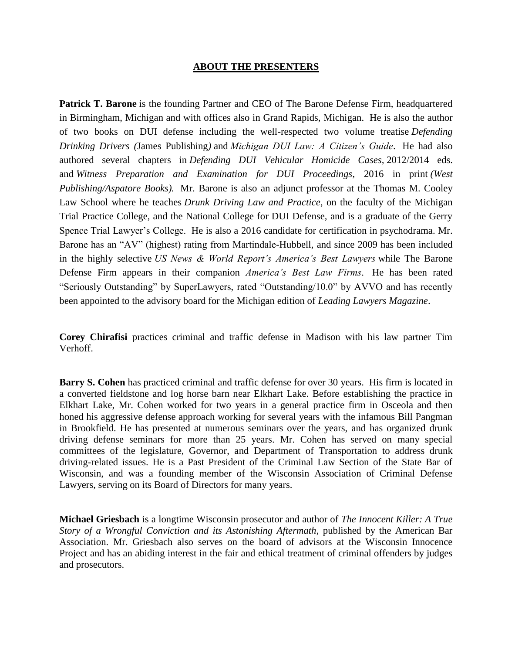#### **ABOUT THE PRESENTERS**

<span id="page-5-0"></span>**Patrick T. Barone** is the founding Partner and CEO of The Barone Defense Firm, headquartered in Birmingham, Michigan and with offices also in Grand Rapids, Michigan. He is also the author of two books on DUI defense including the well-respected two volume treatise *Defending Drinking Drivers (*James Publishing*)* and *Michigan DUI Law: A Citizen's Guide*. He had also authored several chapters in *Defending DUI Vehicular Homicide Cases,* 2012/2014 eds. and *Witness Preparation and Examination for DUI Proceedings*, 2016 in print *(West Publishing/Aspatore Books).* Mr. Barone is also an adjunct professor at the Thomas M. Cooley Law School where he teaches *Drunk Driving Law and Practice*, on the faculty of the Michigan Trial Practice College, and the National College for DUI Defense, and is a graduate of the Gerry Spence Trial Lawyer's College. He is also a 2016 candidate for certification in psychodrama. Mr. Barone has an "AV" (highest) rating from Martindale-Hubbell, and since 2009 has been included in the highly selective *US News & World Report's America's Best Lawyers* while The Barone Defense Firm appears in their companion *America's Best Law Firms*. He has been rated "Seriously Outstanding" by SuperLawyers, rated "Outstanding/10.0" by AVVO and has recently been appointed to the advisory board for the Michigan edition of *Leading Lawyers Magazine*.

**Corey Chirafisi** practices criminal and traffic defense in Madison with his law partner Tim Verhoff.

**Barry S. Cohen** has practiced criminal and traffic defense for over 30 years. His firm is located in a converted fieldstone and log horse barn near Elkhart Lake. Before establishing the practice in Elkhart Lake, Mr. Cohen worked for two years in a general practice firm in Osceola and then honed his aggressive defense approach working for several years with the infamous Bill Pangman in Brookfield. He has presented at numerous seminars over the years, and has organized drunk driving defense seminars for more than 25 years. Mr. Cohen has served on many special committees of the legislature, Governor, and Department of Transportation to address drunk driving-related issues. He is a Past President of the Criminal Law Section of the State Bar of Wisconsin, and was a founding member of the Wisconsin Association of Criminal Defense Lawyers, serving on its Board of Directors for many years.

**Michael Griesbach** is a longtime Wisconsin prosecutor and author of *The Innocent Killer: A True Story of a Wrongful Conviction and its Astonishing Aftermath*, published by the American Bar Association. Mr. Griesbach also serves on the board of advisors at the Wisconsin Innocence Project and has an abiding interest in the fair and ethical treatment of criminal offenders by judges and prosecutors.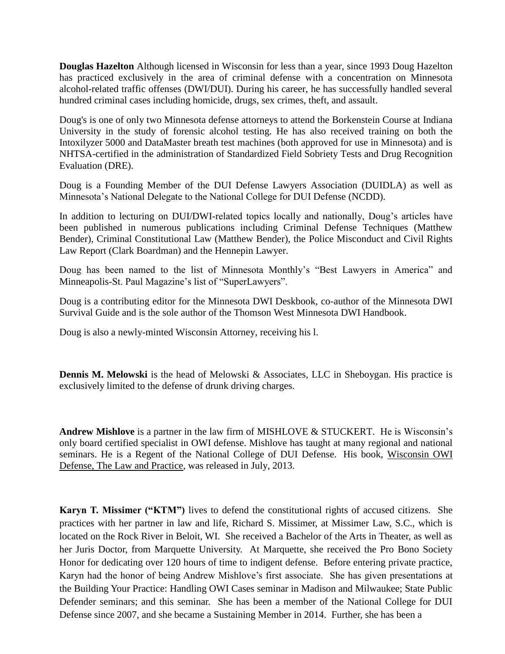**Douglas Hazelton** Although licensed in Wisconsin for less than a year, since 1993 Doug Hazelton has practiced exclusively in the area of criminal defense with a concentration on Minnesota alcohol-related traffic offenses (DWI/DUI). During his career, he has successfully handled several hundred criminal cases including homicide, drugs, sex crimes, theft, and assault.

Doug's is one of only two Minnesota defense attorneys to attend the Borkenstein Course at Indiana University in the study of forensic alcohol testing. He has also received training on both the Intoxilyzer 5000 and DataMaster breath test machines (both approved for use in Minnesota) and is NHTSA-certified in the administration of Standardized Field Sobriety Tests and Drug Recognition Evaluation (DRE).

Doug is a Founding Member of the DUI Defense Lawyers Association (DUIDLA) as well as Minnesota's National Delegate to the National College for DUI Defense (NCDD).

In addition to lecturing on DUI/DWI-related topics locally and nationally, Doug's articles have been published in numerous publications including Criminal Defense Techniques (Matthew Bender), Criminal Constitutional Law (Matthew Bender), the Police Misconduct and Civil Rights Law Report (Clark Boardman) and the Hennepin Lawyer.

Doug has been named to the list of Minnesota Monthly's "Best Lawyers in America" and Minneapolis-St. Paul Magazine's list of "SuperLawyers".

Doug is a contributing editor for the Minnesota DWI Deskbook, co-author of the Minnesota DWI Survival Guide and is the sole author of the Thomson West Minnesota DWI Handbook.

Doug is also a newly-minted Wisconsin Attorney, receiving his l.

**Dennis M. Melowski** is the head of Melowski & Associates, LLC in Sheboygan. His practice is exclusively limited to the defense of drunk driving charges.

**Andrew Mishlove** is a partner in the law firm of MISHLOVE & STUCKERT. He is Wisconsin's only board certified specialist in OWI defense. Mishlove has taught at many regional and national seminars. He is a Regent of the National College of DUI Defense. His book, Wisconsin OWI Defense, The Law and Practice, was released in July, 2013.

**Karyn T. Missimer ("KTM")** lives to defend the constitutional rights of accused citizens. She practices with her partner in law and life, Richard S. Missimer, at Missimer Law, S.C., which is located on the Rock River in Beloit, WI. She received a Bachelor of the Arts in Theater, as well as her Juris Doctor, from Marquette University. At Marquette, she received the Pro Bono Society Honor for dedicating over 120 hours of time to indigent defense. Before entering private practice, Karyn had the honor of being Andrew Mishlove's first associate. She has given presentations at the Building Your Practice: Handling OWI Cases seminar in Madison and Milwaukee; State Public Defender seminars; and this seminar. She has been a member of the National College for DUI Defense since 2007, and she became a Sustaining Member in 2014. Further, she has been a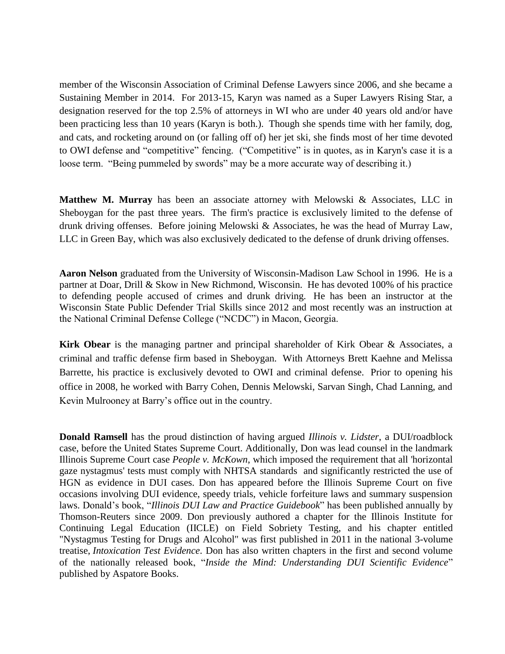member of the Wisconsin Association of Criminal Defense Lawyers since 2006, and she became a Sustaining Member in 2014. For 2013-15, Karyn was named as a Super Lawyers Rising Star, a designation reserved for the top 2.5% of attorneys in WI who are under 40 years old and/or have been practicing less than 10 years (Karyn is both.). Though she spends time with her family, dog, and cats, and rocketing around on (or falling off of) her jet ski, she finds most of her time devoted to OWI defense and "competitive" fencing. ("Competitive" is in quotes, as in Karyn's case it is a loose term. "Being pummeled by swords" may be a more accurate way of describing it.)

**Matthew M. Murray** has been an associate attorney with Melowski & Associates, LLC in Sheboygan for the past three years. The firm's practice is exclusively limited to the defense of drunk driving offenses. Before joining Melowski & Associates, he was the head of Murray Law, LLC in Green Bay, which was also exclusively dedicated to the defense of drunk driving offenses.

**Aaron Nelson** graduated from the University of Wisconsin-Madison Law School in 1996. He is a partner at Doar, Drill & Skow in New Richmond, Wisconsin. He has devoted 100% of his practice to defending people accused of crimes and drunk driving. He has been an instructor at the Wisconsin State Public Defender Trial Skills since 2012 and most recently was an instruction at the National Criminal Defense College ("NCDC") in Macon, Georgia.

**Kirk Obear** is the managing partner and principal shareholder of Kirk Obear & Associates, a criminal and traffic defense firm based in Sheboygan. With Attorneys Brett Kaehne and Melissa Barrette, his practice is exclusively devoted to OWI and criminal defense. Prior to opening his office in 2008, he worked with Barry Cohen, Dennis Melowski, Sarvan Singh, Chad Lanning, and Kevin Mulrooney at Barry's office out in the country.

**Donald Ramsell** has the proud distinction of having argued *Illinois v. Lidster*, a DUI/roadblock case, before the United States Supreme Court. Additionally, Don was lead counsel in the landmark Illinois Supreme Court case *People v. McKown*, which imposed the requirement that all 'horizontal gaze nystagmus' tests must comply with NHTSA standards and significantly restricted the use of HGN as evidence in DUI cases. Don has appeared before the Illinois Supreme Court on five occasions involving DUI evidence, speedy trials, vehicle forfeiture laws and summary suspension laws. Donald's book, "*Illinois DUI Law and Practice Guidebook*" has been published annually by Thomson-Reuters since 2009. Don previously authored a chapter for the Illinois Institute for Continuing Legal Education (IICLE) on Field Sobriety Testing, and his chapter entitled "Nystagmus Testing for Drugs and Alcohol" was first published in 2011 in the national 3-volume treatise, *Intoxication Test Evidence*. Don has also written chapters in the first and second volume of the nationally released book, "*Inside the Mind: Understanding DUI Scientific Evidence*" published by Aspatore Books.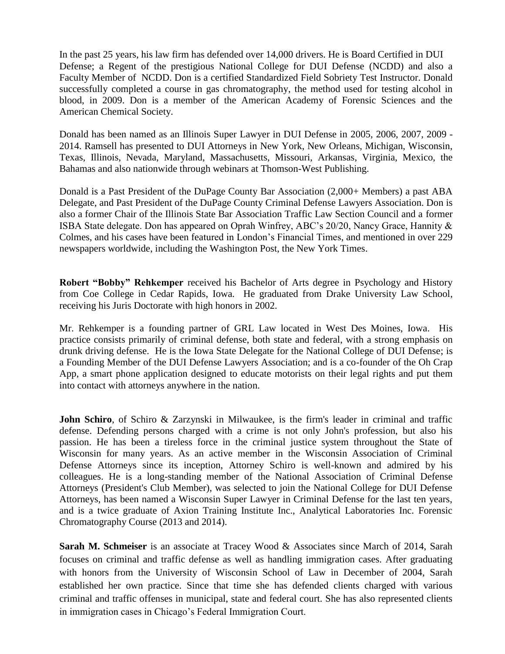In the past 25 years, his law firm has defended over 14,000 drivers. He is Board Certified in DUI Defense; a Regent of the prestigious National College for DUI Defense (NCDD) and also a Faculty Member of NCDD. Don is a certified Standardized Field Sobriety Test Instructor. Donald successfully completed a course in gas chromatography, the method used for testing alcohol in blood, in 2009. Don is a member of the American Academy of Forensic Sciences and the American Chemical Society.

Donald has been named as an Illinois Super Lawyer in DUI Defense in 2005, 2006, 2007, 2009 - 2014. Ramsell has presented to DUI Attorneys in New York, New Orleans, Michigan, Wisconsin, Texas, Illinois, Nevada, Maryland, Massachusetts, Missouri, Arkansas, Virginia, Mexico, the Bahamas and also nationwide through webinars at Thomson-West Publishing.

Donald is a Past President of the DuPage County Bar Association (2,000+ Members) a past ABA Delegate, and Past President of the DuPage County Criminal Defense Lawyers Association. Don is also a former Chair of the Illinois State Bar Association Traffic Law Section Council and a former ISBA State delegate. Don has appeared on Oprah Winfrey, ABC's 20/20, Nancy Grace, Hannity & Colmes, and his cases have been featured in London's Financial Times, and mentioned in over 229 newspapers worldwide, including the Washington Post, the New York Times.

**Robert "Bobby" Rehkemper** received his Bachelor of Arts degree in Psychology and History from Coe College in Cedar Rapids, Iowa. He graduated from Drake University Law School, receiving his Juris Doctorate with high honors in 2002.

Mr. Rehkemper is a founding partner of GRL Law located in West Des Moines, Iowa. His practice consists primarily of criminal defense, both state and federal, with a strong emphasis on drunk driving defense. He is the Iowa State Delegate for the National College of DUI Defense; is a Founding Member of the DUI Defense Lawyers Association; and is a co-founder of the Oh Crap App, a smart phone application designed to educate motorists on their legal rights and put them into contact with attorneys anywhere in the nation.

**John Schiro**, of Schiro & Zarzynski in Milwaukee, is the firm's leader in criminal and traffic defense. Defending persons charged with a crime is not only John's profession, but also his passion. He has been a tireless force in the criminal justice system throughout the State of Wisconsin for many years. As an active member in the Wisconsin Association of Criminal Defense Attorneys since its inception, Attorney Schiro is well-known and admired by his colleagues. He is a long-standing member of the National Association of Criminal Defense Attorneys (President's Club Member), was selected to join the National College for DUI Defense Attorneys, has been named a Wisconsin Super Lawyer in Criminal Defense for the last ten years, and is a twice graduate of Axion Training Institute Inc., Analytical Laboratories Inc. Forensic Chromatography Course (2013 and 2014).

**Sarah M. Schmeiser** is an associate at Tracey Wood & Associates since March of 2014, Sarah focuses on criminal and traffic defense as well as handling immigration cases. After graduating with honors from the University of Wisconsin School of Law in December of 2004, Sarah established her own practice. Since that time she has defended clients charged with various criminal and traffic offenses in municipal, state and federal court. She has also represented clients in immigration cases in Chicago's Federal Immigration Court.